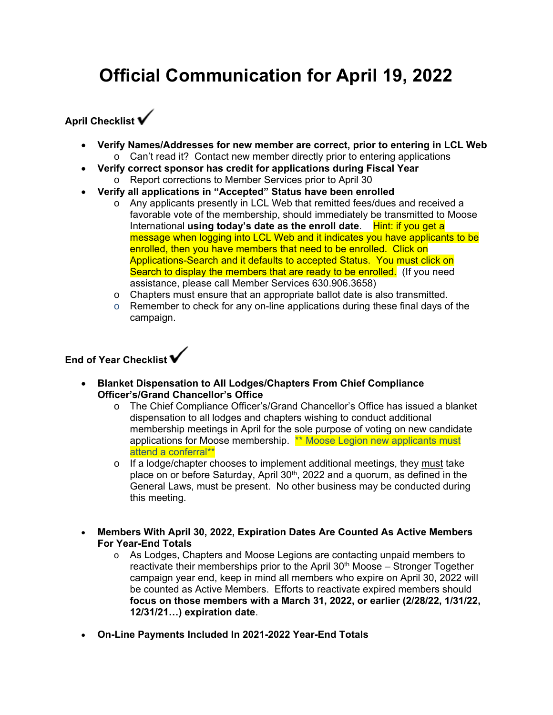# **Official Communication for April 19, 2022**

## **April Checklist**

- **Verify Names/Addresses for new member are correct, prior to entering in LCL Web**
	- o Can't read it? Contact new member directly prior to entering applications
- **Verify correct sponsor has credit for applications during Fiscal Year**  o Report corrections to Member Services prior to April 30
- **Verify all applications in "Accepted" Status have been enrolled**
	- o Any applicants presently in LCL Web that remitted fees/dues and received a favorable vote of the membership, should immediately be transmitted to Moose International **using today's date as the enroll date**. Hint: if you get a message when logging into LCL Web and it indicates you have applicants to be enrolled, then you have members that need to be enrolled. Click on Applications-Search and it defaults to accepted Status. You must click on Search to display the members that are ready to be enrolled. (If you need assistance, please call Member Services 630.906.3658)
	- o Chapters must ensure that an appropriate ballot date is also transmitted.
	- $\circ$  Remember to check for any on-line applications during these final days of the campaign.

## **End of Year Checklist**

- **Blanket Dispensation to All Lodges/Chapters From Chief Compliance Officer's/Grand Chancellor's Office** 
	- o The Chief Compliance Officer's/Grand Chancellor's Office has issued a blanket dispensation to all lodges and chapters wishing to conduct additional membership meetings in April for the sole purpose of voting on new candidate applications for Moose membership. \*\* Moose Legion new applicants must attend a conferral\*\*
	- $\circ$  If a lodge/chapter chooses to implement additional meetings, they must take place on or before Saturday, April  $30<sup>th</sup>$ , 2022 and a quorum, as defined in the General Laws, must be present. No other business may be conducted during this meeting.
- **Members With April 30, 2022, Expiration Dates Are Counted As Active Members For Year-End Totals**
	- o As Lodges, Chapters and Moose Legions are contacting unpaid members to reactivate their memberships prior to the April  $30<sup>th</sup>$  Moose – Stronger Together campaign year end, keep in mind all members who expire on April 30, 2022 will be counted as Active Members. Efforts to reactivate expired members should **focus on those members with a March 31, 2022, or earlier (2/28/22, 1/31/22, 12/31/21…) expiration date**.
- **On-Line Payments Included In 2021-2022 Year-End Totals**